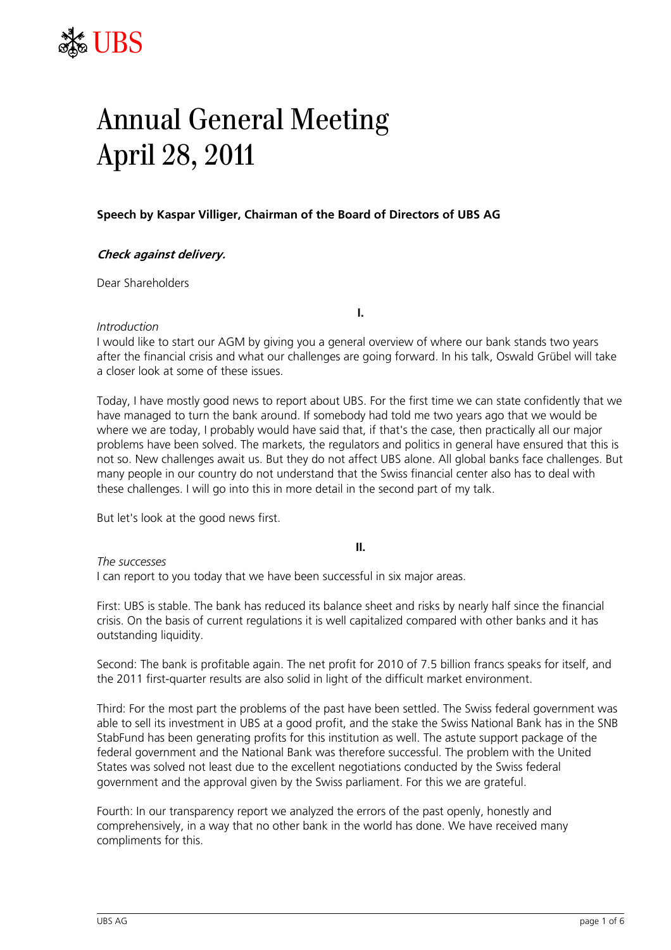

# Annual General Meeting April 28, 2011

# **Speech by Kaspar Villiger, Chairman of the Board of Directors of UBS AG**

# **Check against delivery.**

Dear Shareholders

### *Introduction*

I would like to start our AGM by giving you a general overview of where our bank stands two years after the financial crisis and what our challenges are going forward. In his talk, Oswald Grübel will take a closer look at some of these issues.

**I.** 

Today, I have mostly good news to report about UBS. For the first time we can state confidently that we have managed to turn the bank around. If somebody had told me two years ago that we would be where we are today, I probably would have said that, if that's the case, then practically all our major problems have been solved. The markets, the regulators and politics in general have ensured that this is not so. New challenges await us. But they do not affect UBS alone. All global banks face challenges. But many people in our country do not understand that the Swiss financial center also has to deal with these challenges. I will go into this in more detail in the second part of my talk.

But let's look at the good news first.

**II.** 

*The successes* 

I can report to you today that we have been successful in six major areas.

First: UBS is stable. The bank has reduced its balance sheet and risks by nearly half since the financial crisis. On the basis of current regulations it is well capitalized compared with other banks and it has outstanding liquidity.

Second: The bank is profitable again. The net profit for 2010 of 7.5 billion francs speaks for itself, and the 2011 first-quarter results are also solid in light of the difficult market environment.

Third: For the most part the problems of the past have been settled. The Swiss federal government was able to sell its investment in UBS at a good profit, and the stake the Swiss National Bank has in the SNB StabFund has been generating profits for this institution as well. The astute support package of the federal government and the National Bank was therefore successful. The problem with the United States was solved not least due to the excellent negotiations conducted by the Swiss federal government and the approval given by the Swiss parliament. For this we are grateful.

Fourth: In our transparency report we analyzed the errors of the past openly, honestly and comprehensively, in a way that no other bank in the world has done. We have received many compliments for this.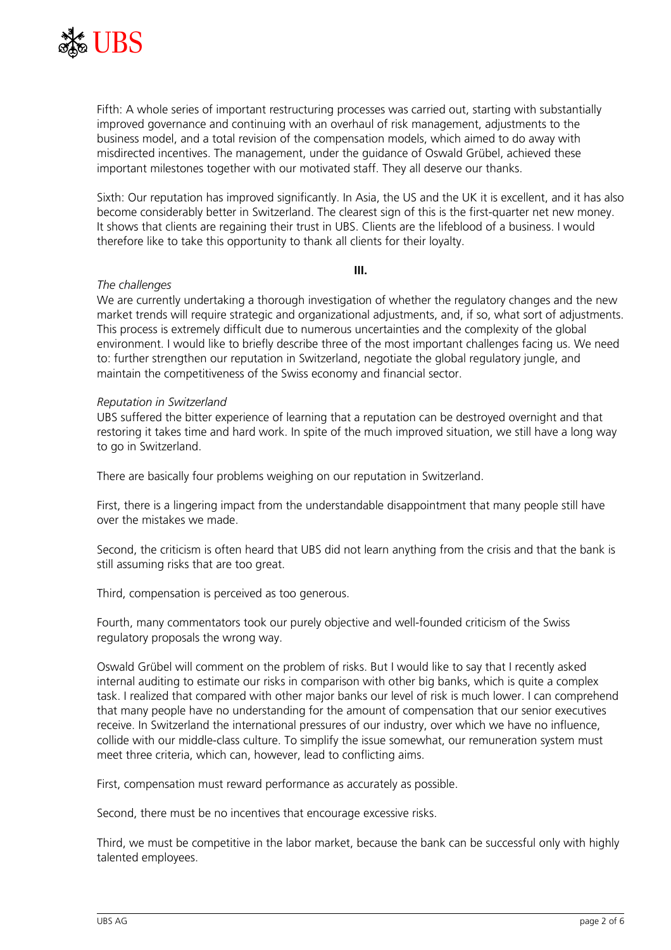

Fifth: A whole series of important restructuring processes was carried out, starting with substantially improved governance and continuing with an overhaul of risk management, adjustments to the business model, and a total revision of the compensation models, which aimed to do away with misdirected incentives. The management, under the guidance of Oswald Grübel, achieved these important milestones together with our motivated staff. They all deserve our thanks.

Sixth: Our reputation has improved significantly. In Asia, the US and the UK it is excellent, and it has also become considerably better in Switzerland. The clearest sign of this is the first-quarter net new money. It shows that clients are regaining their trust in UBS. Clients are the lifeblood of a business. I would therefore like to take this opportunity to thank all clients for their loyalty.

**III.** 

# *The challenges*

We are currently undertaking a thorough investigation of whether the regulatory changes and the new market trends will require strategic and organizational adjustments, and, if so, what sort of adjustments. This process is extremely difficult due to numerous uncertainties and the complexity of the global environment. I would like to briefly describe three of the most important challenges facing us. We need to: further strengthen our reputation in Switzerland, negotiate the global regulatory jungle, and maintain the competitiveness of the Swiss economy and financial sector.

# *Reputation in Switzerland*

UBS suffered the bitter experience of learning that a reputation can be destroyed overnight and that restoring it takes time and hard work. In spite of the much improved situation, we still have a long way to go in Switzerland.

There are basically four problems weighing on our reputation in Switzerland.

First, there is a lingering impact from the understandable disappointment that many people still have over the mistakes we made.

Second, the criticism is often heard that UBS did not learn anything from the crisis and that the bank is still assuming risks that are too great.

Third, compensation is perceived as too generous.

Fourth, many commentators took our purely objective and well-founded criticism of the Swiss regulatory proposals the wrong way.

Oswald Grübel will comment on the problem of risks. But I would like to say that I recently asked internal auditing to estimate our risks in comparison with other big banks, which is quite a complex task. I realized that compared with other major banks our level of risk is much lower. I can comprehend that many people have no understanding for the amount of compensation that our senior executives receive. In Switzerland the international pressures of our industry, over which we have no influence, collide with our middle-class culture. To simplify the issue somewhat, our remuneration system must meet three criteria, which can, however, lead to conflicting aims.

First, compensation must reward performance as accurately as possible.

Second, there must be no incentives that encourage excessive risks.

Third, we must be competitive in the labor market, because the bank can be successful only with highly talented employees.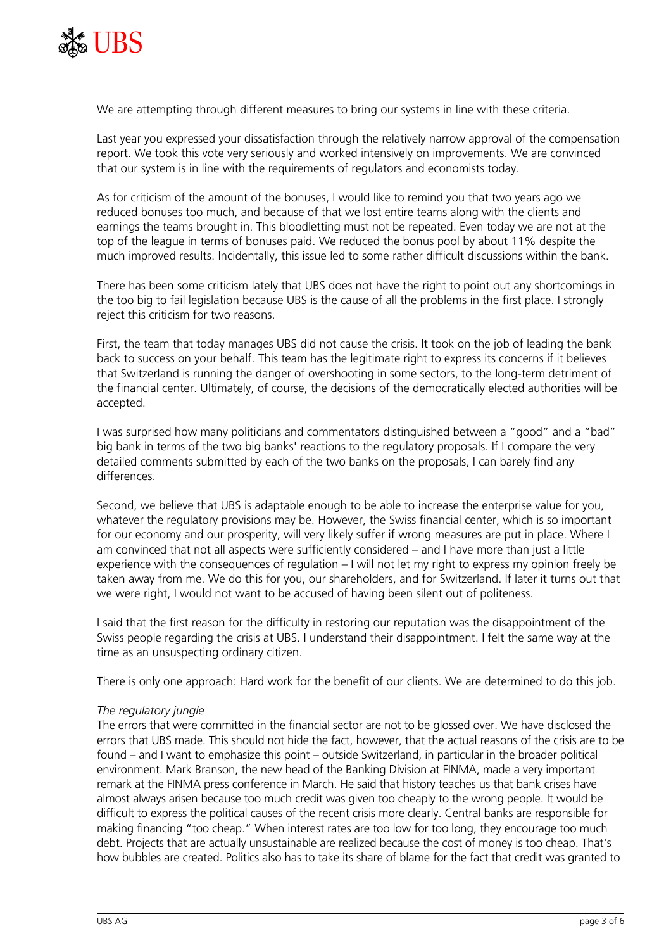

We are attempting through different measures to bring our systems in line with these criteria.

Last year you expressed your dissatisfaction through the relatively narrow approval of the compensation report. We took this vote very seriously and worked intensively on improvements. We are convinced that our system is in line with the requirements of regulators and economists today.

As for criticism of the amount of the bonuses, I would like to remind you that two years ago we reduced bonuses too much, and because of that we lost entire teams along with the clients and earnings the teams brought in. This bloodletting must not be repeated. Even today we are not at the top of the league in terms of bonuses paid. We reduced the bonus pool by about 11% despite the much improved results. Incidentally, this issue led to some rather difficult discussions within the bank.

There has been some criticism lately that UBS does not have the right to point out any shortcomings in the too big to fail legislation because UBS is the cause of all the problems in the first place. I strongly reject this criticism for two reasons.

First, the team that today manages UBS did not cause the crisis. It took on the job of leading the bank back to success on your behalf. This team has the legitimate right to express its concerns if it believes that Switzerland is running the danger of overshooting in some sectors, to the long-term detriment of the financial center. Ultimately, of course, the decisions of the democratically elected authorities will be accepted.

I was surprised how many politicians and commentators distinguished between a "good" and a "bad" big bank in terms of the two big banks' reactions to the regulatory proposals. If I compare the very detailed comments submitted by each of the two banks on the proposals, I can barely find any differences.

Second, we believe that UBS is adaptable enough to be able to increase the enterprise value for you, whatever the regulatory provisions may be. However, the Swiss financial center, which is so important for our economy and our prosperity, will very likely suffer if wrong measures are put in place. Where I am convinced that not all aspects were sufficiently considered – and I have more than just a little experience with the consequences of regulation – I will not let my right to express my opinion freely be taken away from me. We do this for you, our shareholders, and for Switzerland. If later it turns out that we were right, I would not want to be accused of having been silent out of politeness.

I said that the first reason for the difficulty in restoring our reputation was the disappointment of the Swiss people regarding the crisis at UBS. I understand their disappointment. I felt the same way at the time as an unsuspecting ordinary citizen.

There is only one approach: Hard work for the benefit of our clients. We are determined to do this job.

#### *The regulatory jungle*

The errors that were committed in the financial sector are not to be glossed over. We have disclosed the errors that UBS made. This should not hide the fact, however, that the actual reasons of the crisis are to be found – and I want to emphasize this point – outside Switzerland, in particular in the broader political environment. Mark Branson, the new head of the Banking Division at FINMA, made a very important remark at the FINMA press conference in March. He said that history teaches us that bank crises have almost always arisen because too much credit was given too cheaply to the wrong people. It would be difficult to express the political causes of the recent crisis more clearly. Central banks are responsible for making financing "too cheap." When interest rates are too low for too long, they encourage too much debt. Projects that are actually unsustainable are realized because the cost of money is too cheap. That's how bubbles are created. Politics also has to take its share of blame for the fact that credit was granted to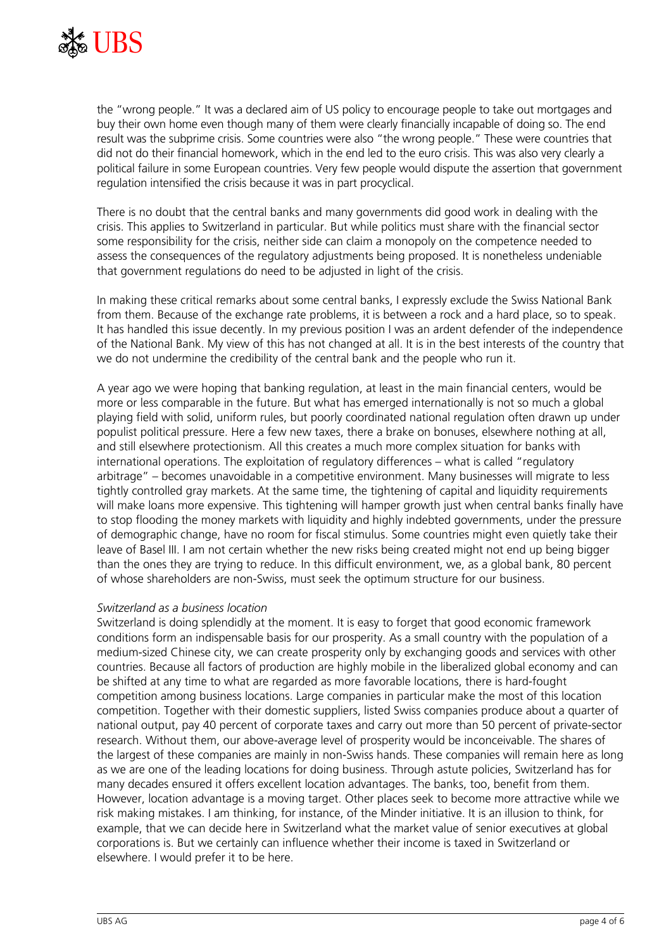

the "wrong people." It was a declared aim of US policy to encourage people to take out mortgages and buy their own home even though many of them were clearly financially incapable of doing so. The end result was the subprime crisis. Some countries were also "the wrong people." These were countries that did not do their financial homework, which in the end led to the euro crisis. This was also very clearly a political failure in some European countries. Very few people would dispute the assertion that government regulation intensified the crisis because it was in part procyclical.

There is no doubt that the central banks and many governments did good work in dealing with the crisis. This applies to Switzerland in particular. But while politics must share with the financial sector some responsibility for the crisis, neither side can claim a monopoly on the competence needed to assess the consequences of the regulatory adjustments being proposed. It is nonetheless undeniable that government regulations do need to be adjusted in light of the crisis.

In making these critical remarks about some central banks, I expressly exclude the Swiss National Bank from them. Because of the exchange rate problems, it is between a rock and a hard place, so to speak. It has handled this issue decently. In my previous position I was an ardent defender of the independence of the National Bank. My view of this has not changed at all. It is in the best interests of the country that we do not undermine the credibility of the central bank and the people who run it.

A year ago we were hoping that banking regulation, at least in the main financial centers, would be more or less comparable in the future. But what has emerged internationally is not so much a global playing field with solid, uniform rules, but poorly coordinated national regulation often drawn up under populist political pressure. Here a few new taxes, there a brake on bonuses, elsewhere nothing at all, and still elsewhere protectionism. All this creates a much more complex situation for banks with international operations. The exploitation of regulatory differences – what is called "regulatory arbitrage" – becomes unavoidable in a competitive environment. Many businesses will migrate to less tightly controlled gray markets. At the same time, the tightening of capital and liquidity requirements will make loans more expensive. This tightening will hamper growth just when central banks finally have to stop flooding the money markets with liquidity and highly indebted governments, under the pressure of demographic change, have no room for fiscal stimulus. Some countries might even quietly take their leave of Basel III. I am not certain whether the new risks being created might not end up being bigger than the ones they are trying to reduce. In this difficult environment, we, as a global bank, 80 percent of whose shareholders are non-Swiss, must seek the optimum structure for our business.

#### *Switzerland as a business location*

Switzerland is doing splendidly at the moment. It is easy to forget that good economic framework conditions form an indispensable basis for our prosperity. As a small country with the population of a medium-sized Chinese city, we can create prosperity only by exchanging goods and services with other countries. Because all factors of production are highly mobile in the liberalized global economy and can be shifted at any time to what are regarded as more favorable locations, there is hard-fought competition among business locations. Large companies in particular make the most of this location competition. Together with their domestic suppliers, listed Swiss companies produce about a quarter of national output, pay 40 percent of corporate taxes and carry out more than 50 percent of private-sector research. Without them, our above-average level of prosperity would be inconceivable. The shares of the largest of these companies are mainly in non-Swiss hands. These companies will remain here as long as we are one of the leading locations for doing business. Through astute policies, Switzerland has for many decades ensured it offers excellent location advantages. The banks, too, benefit from them. However, location advantage is a moving target. Other places seek to become more attractive while we risk making mistakes. I am thinking, for instance, of the Minder initiative. It is an illusion to think, for example, that we can decide here in Switzerland what the market value of senior executives at global corporations is. But we certainly can influence whether their income is taxed in Switzerland or elsewhere. I would prefer it to be here.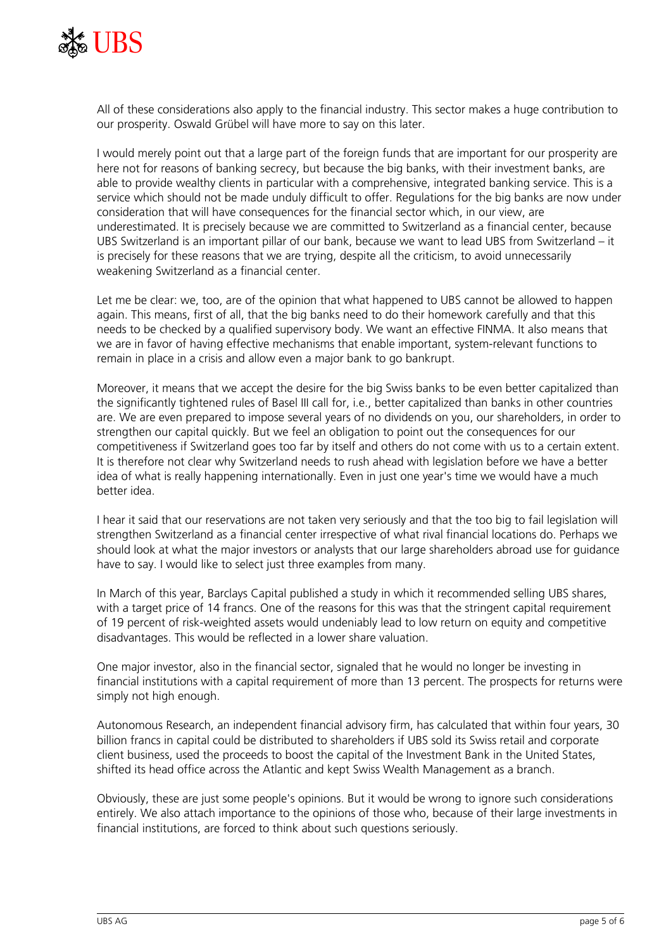

All of these considerations also apply to the financial industry. This sector makes a huge contribution to our prosperity. Oswald Grübel will have more to say on this later.

I would merely point out that a large part of the foreign funds that are important for our prosperity are here not for reasons of banking secrecy, but because the big banks, with their investment banks, are able to provide wealthy clients in particular with a comprehensive, integrated banking service. This is a service which should not be made unduly difficult to offer. Regulations for the big banks are now under consideration that will have consequences for the financial sector which, in our view, are underestimated. It is precisely because we are committed to Switzerland as a financial center, because UBS Switzerland is an important pillar of our bank, because we want to lead UBS from Switzerland – it is precisely for these reasons that we are trying, despite all the criticism, to avoid unnecessarily weakening Switzerland as a financial center.

Let me be clear: we, too, are of the opinion that what happened to UBS cannot be allowed to happen again. This means, first of all, that the big banks need to do their homework carefully and that this needs to be checked by a qualified supervisory body. We want an effective FINMA. It also means that we are in favor of having effective mechanisms that enable important, system-relevant functions to remain in place in a crisis and allow even a major bank to go bankrupt.

Moreover, it means that we accept the desire for the big Swiss banks to be even better capitalized than the significantly tightened rules of Basel III call for, i.e., better capitalized than banks in other countries are. We are even prepared to impose several years of no dividends on you, our shareholders, in order to strengthen our capital quickly. But we feel an obligation to point out the consequences for our competitiveness if Switzerland goes too far by itself and others do not come with us to a certain extent. It is therefore not clear why Switzerland needs to rush ahead with legislation before we have a better idea of what is really happening internationally. Even in just one year's time we would have a much better idea.

I hear it said that our reservations are not taken very seriously and that the too big to fail legislation will strengthen Switzerland as a financial center irrespective of what rival financial locations do. Perhaps we should look at what the major investors or analysts that our large shareholders abroad use for guidance have to say. I would like to select just three examples from many.

In March of this year, Barclays Capital published a study in which it recommended selling UBS shares, with a target price of 14 francs. One of the reasons for this was that the stringent capital requirement of 19 percent of risk-weighted assets would undeniably lead to low return on equity and competitive disadvantages. This would be reflected in a lower share valuation.

One major investor, also in the financial sector, signaled that he would no longer be investing in financial institutions with a capital requirement of more than 13 percent. The prospects for returns were simply not high enough.

Autonomous Research, an independent financial advisory firm, has calculated that within four years, 30 billion francs in capital could be distributed to shareholders if UBS sold its Swiss retail and corporate client business, used the proceeds to boost the capital of the Investment Bank in the United States, shifted its head office across the Atlantic and kept Swiss Wealth Management as a branch.

Obviously, these are just some people's opinions. But it would be wrong to ignore such considerations entirely. We also attach importance to the opinions of those who, because of their large investments in financial institutions, are forced to think about such questions seriously.